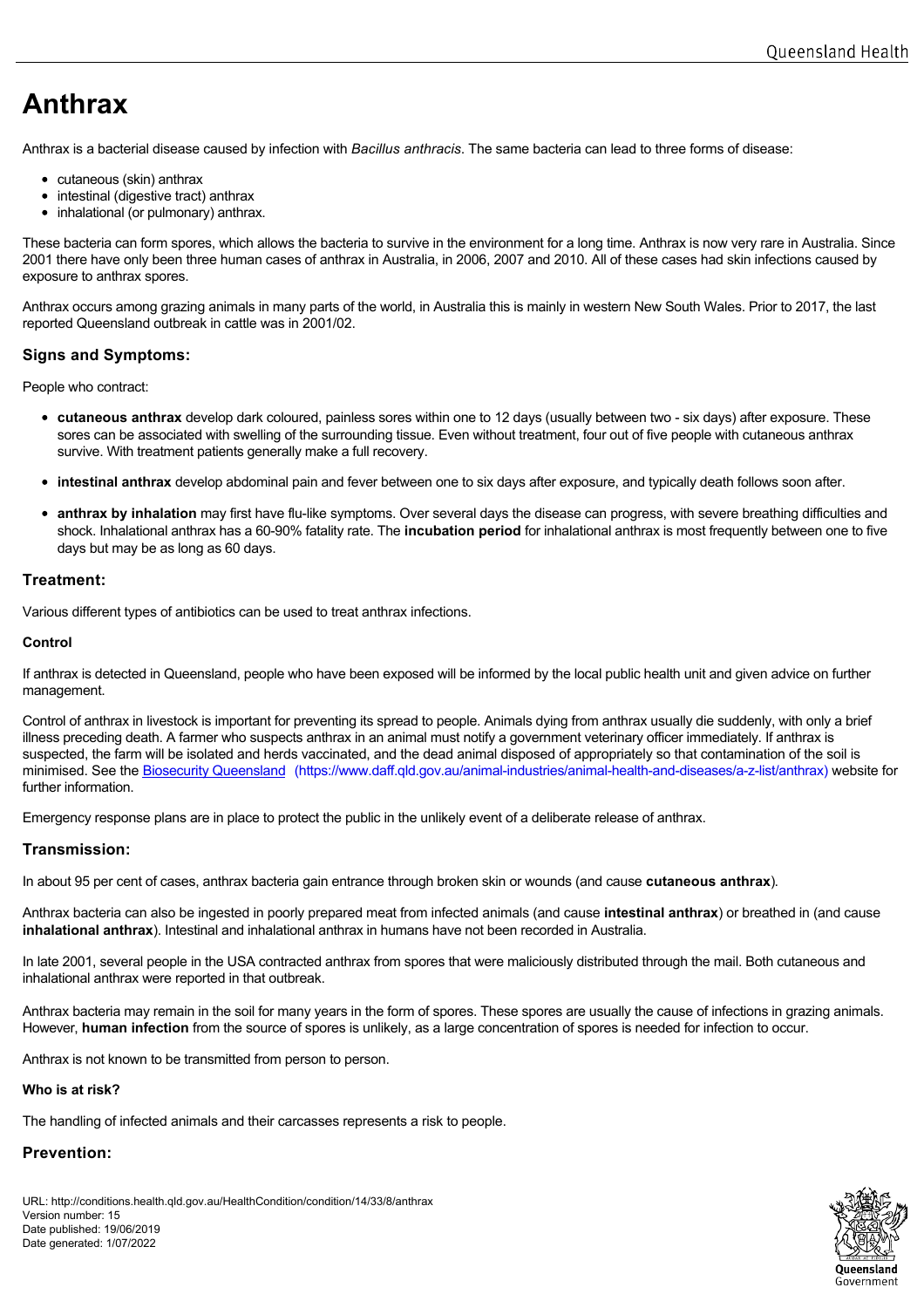# **Anthrax**

Anthrax is a bacterial disease caused by infection with *Bacillus anthracis*. The same bacteria can lead to three forms of disease:

- cutaneous (skin) anthrax
- intestinal (digestive tract) anthrax
- inhalational (or pulmonary) anthrax.

These bacteria can form spores, which allows the bacteria to survive in the environment for a long time. Anthrax is now very rare in Australia. Since 2001 there have only been three human cases of anthrax in Australia, in 2006, 2007 and 2010. All of these cases had skin infections caused by exposure to anthrax spores.

Anthrax occurs among grazing animals in many parts of the world, in Australia this is mainly in western New South Wales. Prior to 2017, the last reported Queensland outbreak in cattle was in 2001/02.

## **Signs and Symptoms:**

People who contract:

- **cutaneous anthrax** develop dark coloured, painless sores within one to 12 days (usually between two six days) after exposure. These sores can be associated with swelling of the surrounding tissue. Even without treatment, four out of five people with cutaneous anthrax survive. With treatment patients generally make a full recovery.
- **intestinal anthrax** develop abdominal pain and fever between one to six days after exposure, and typically death follows soon after.
- **anthrax by inhalation** may first have flu-like symptoms. Over several days the disease can progress, with severe breathing difficulties and shock. Inhalational anthrax has a 60-90% fatality rate. The **incubation period** for inhalational anthrax is most frequently between one to five days but may be as long as 60 days.

## **Treatment:**

Various different types of antibiotics can be used to treat anthrax infections.

## **Control**

If anthrax is detected in Queensland, people who have been exposed will be informed by the local public health unit and given advice on further management.

Control of anthrax in livestock is important for preventing its spread to people. Animals dying from anthrax usually die suddenly, with only a brief illness preceding death. A farmer who suspects anthrax in an animal must notify a government veterinary officer immediately. If anthrax is suspected, the farm will be isolated and herds vaccinated, and the dead animal disposed of appropriately so that contamination of the soil is minimised. See the Biosecurity Queensland [\(https://www.daff.qld.gov.au/animal-industries/animal-health-and-diseases/a-z-list/anthrax\)](https://www.daff.qld.gov.au/animal-industries/animal-health-and-diseases/a-z-list/anthrax) website for further information.

Emergency response plans are in place to protect the public in the unlikely event of a deliberate release of anthrax.

## **Transmission:**

In about 95 per cent of cases, anthrax bacteria gain entrance through broken skin or wounds (and cause **cutaneous anthrax**).

Anthrax bacteria can also be ingested in poorly prepared meat from infected animals (and cause **intestinal anthrax**) or breathed in (and cause **inhalational anthrax**). Intestinal and inhalational anthrax in humans have not been recorded in Australia.

In late 2001, several people in the USA contracted anthrax from spores that were maliciously distributed through the mail. Both cutaneous and inhalational anthrax were reported in that outbreak.

Anthrax bacteria may remain in the soil for many years in the form of spores. These spores are usually the cause of infections in grazing animals. However, **human infection** from the source of spores is unlikely, as a large concentration of spores is needed for infection to occur.

Anthrax is not known to be transmitted from person to person.

## **Who is at risk?**

The handling of infected animals and their carcasses represents a risk to people.

## **Prevention:**

URL: http://conditions.health.qld.gov.au/HealthCondition/condition/14/33/8/anthrax Version number: 15 Date published: 19/06/2019 Date generated: 1/07/2022